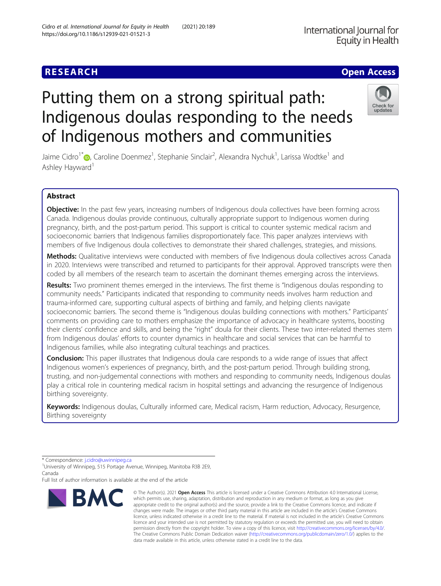# **RESEARCH CHE Open Access**

# Putting them on a strong spiritual path: Indigenous doulas responding to the needs of Indigenous mothers and communities

Jaime Cidro<sup>1\*</sup>®[,](http://orcid.org/0000-0001-7999-4674) Caroline Doenmez<sup>1</sup>, Stephanie Sinclair<sup>2</sup>, Alexandra Nychuk<sup>1</sup>, Larissa Wodtke<sup>1</sup> and Ashley Hayward<sup>1</sup>

# Abstract

Objective: In the past few years, increasing numbers of Indigenous doula collectives have been forming across Canada. Indigenous doulas provide continuous, culturally appropriate support to Indigenous women during pregnancy, birth, and the post-partum period. This support is critical to counter systemic medical racism and socioeconomic barriers that Indigenous families disproportionately face. This paper analyzes interviews with members of five Indigenous doula collectives to demonstrate their shared challenges, strategies, and missions.

Methods: Qualitative interviews were conducted with members of five Indigenous doula collectives across Canada in 2020. Interviews were transcribed and returned to participants for their approval. Approved transcripts were then coded by all members of the research team to ascertain the dominant themes emerging across the interviews.

Results: Two prominent themes emerged in the interviews. The first theme is "Indigenous doulas responding to community needs." Participants indicated that responding to community needs involves harm reduction and trauma-informed care, supporting cultural aspects of birthing and family, and helping clients navigate socioeconomic barriers. The second theme is "Indigenous doulas building connections with mothers." Participants' comments on providing care to mothers emphasize the importance of advocacy in healthcare systems, boosting their clients' confidence and skills, and being the "right" doula for their clients. These two inter-related themes stem from Indigenous doulas' efforts to counter dynamics in healthcare and social services that can be harmful to Indigenous families, while also integrating cultural teachings and practices.

**Conclusion:** This paper illustrates that Indigenous doula care responds to a wide range of issues that affect Indigenous women's experiences of pregnancy, birth, and the post-partum period. Through building strong, trusting, and non-judgemental connections with mothers and responding to community needs, Indigenous doulas play a critical role in countering medical racism in hospital settings and advancing the resurgence of Indigenous birthing sovereignty.

Keywords: Indigenous doulas, Culturally informed care, Medical racism, Harm reduction, Advocacy, Resurgence, Birthing sovereignty



<sup>©</sup> The Author(s), 2021 **Open Access** This article is licensed under a Creative Commons Attribution 4.0 International License, which permits use, sharing, adaptation, distribution and reproduction in any medium or format, as long as you give appropriate credit to the original author(s) and the source, provide a link to the Creative Commons licence, and indicate if changes were made. The images or other third party material in this article are included in the article's Creative Commons licence, unless indicated otherwise in a credit line to the material. If material is not included in the article's Creative Commons licence and your intended use is not permitted by statutory regulation or exceeds the permitted use, you will need to obtain permission directly from the copyright holder. To view a copy of this licence, visit [http://creativecommons.org/licenses/by/4.0/.](http://creativecommons.org/licenses/by/4.0/) The Creative Commons Public Domain Dedication waiver [\(http://creativecommons.org/publicdomain/zero/1.0/](http://creativecommons.org/publicdomain/zero/1.0/)) applies to the data made available in this article, unless otherwise stated in a credit line to the data.



<sup>\*</sup> Correspondence: [j.cidro@uwinnipeg.ca](mailto:j.cidro@uwinnipeg.ca) <sup>1</sup>

<sup>&</sup>lt;sup>1</sup>University of Winnipeg, 515 Portage Avenue, Winnipeg, Manitoba R3B 2E9, Canada

Full list of author information is available at the end of the article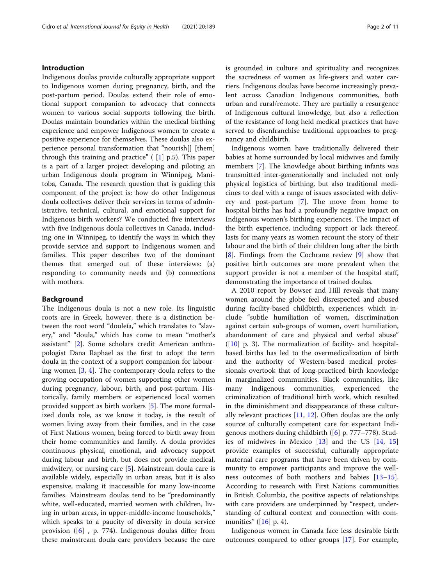# Introduction

Indigenous doulas provide culturally appropriate support to Indigenous women during pregnancy, birth, and the post-partum period. Doulas extend their role of emotional support companion to advocacy that connects women to various social supports following the birth. Doulas maintain boundaries within the medical birthing experience and empower Indigenous women to create a positive experience for themselves. These doulas also experience personal transformation that "nourish[] [them] through this training and practice" ( [[1](#page-9-0)] p.5). This paper is a part of a larger project developing and piloting an urban Indigenous doula program in Winnipeg, Manitoba, Canada. The research question that is guiding this component of the project is: how do other Indigenous doula collectives deliver their services in terms of administrative, technical, cultural, and emotional support for Indigenous birth workers? We conducted five interviews with five Indigenous doula collectives in Canada, including one in Winnipeg, to identify the ways in which they provide service and support to Indigenous women and families. This paper describes two of the dominant themes that emerged out of these interviews: (a) responding to community needs and (b) connections with mothers.

# **Background**

The Indigenous doula is not a new role. Its linguistic roots are in Greek, however, there is a distinction between the root word "douleía," which translates to "slavery," and "doula," which has come to mean "mother's assistant" [\[2](#page-9-0)]. Some scholars credit American anthropologist Dana Raphael as the first to adopt the term doula in the context of a support companion for labouring women  $[3, 4]$  $[3, 4]$  $[3, 4]$ . The contemporary doula refers to the growing occupation of women supporting other women during pregnancy, labour, birth, and post-partum. Historically, family members or experienced local women provided support as birth workers [\[5](#page-9-0)]. The more formalized doula role, as we know it today, is the result of women living away from their families, and in the case of First Nations women, being forced to birth away from their home communities and family. A doula provides continuous physical, emotional, and advocacy support during labour and birth, but does not provide medical, midwifery, or nursing care [\[5](#page-9-0)]. Mainstream doula care is available widely, especially in urban areas, but it is also expensive, making it inaccessible for many low-income families. Mainstream doulas tend to be "predominantly white, well-educated, married women with children, living in urban areas, in upper-middle-income households," which speaks to a paucity of diversity in doula service provision ([[6\]](#page-9-0) , p. 774). Indigenous doulas differ from these mainstream doula care providers because the care is grounded in culture and spirituality and recognizes the sacredness of women as life-givers and water carriers. Indigenous doulas have become increasingly prevalent across Canadian Indigenous communities, both urban and rural/remote. They are partially a resurgence of Indigenous cultural knowledge, but also a reflection of the resistance of long held medical practices that have served to disenfranchise traditional approaches to pregnancy and childbirth.

Indigenous women have traditionally delivered their babies at home surrounded by local midwives and family members [\[7](#page-9-0)]. The knowledge about birthing infants was transmitted inter-generationally and included not only physical logistics of birthing, but also traditional medicines to deal with a range of issues associated with delivery and post-partum [[7\]](#page-9-0). The move from home to hospital births has had a profoundly negative impact on Indigenous women's birthing experiences. The impact of the birth experience, including support or lack thereof, lasts for many years as women recount the story of their labour and the birth of their children long after the birth [[8\]](#page-9-0). Findings from the Cochrane review [[9\]](#page-9-0) show that positive birth outcomes are more prevalent when the support provider is not a member of the hospital staff, demonstrating the importance of trained doulas.

A 2010 report by Bowser and Hill reveals that many women around the globe feel disrespected and abused during facility-based childbirth, experiences which include "subtle humiliation of women, discrimination against certain sub-groups of women, overt humiliation, abandonment of care and physical and verbal abuse"  $([10]$  $([10]$  p. 3). The normalization of facility- and hospitalbased births has led to the overmedicalization of birth and the authority of Western-based medical professionals overtook that of long-practiced birth knowledge in marginalized communities. Black communities, like many Indigenous communities, experienced the criminalization of traditional birth work, which resulted in the diminishment and disappearance of these culturally relevant practices [[11,](#page-9-0) [12\]](#page-9-0). Often doulas are the only source of culturally competent care for expectant Indigenous mothers during childbirth  $([6]$  $([6]$  p. 777–778). Studies of midwives in Mexico [\[13\]](#page-9-0) and the US [\[14](#page-9-0), [15](#page-9-0)] provide examples of successful, culturally appropriate maternal care programs that have been driven by community to empower participants and improve the wellness outcomes of both mothers and babies [[13](#page-9-0)–[15](#page-9-0)]. According to research with First Nations communities in British Columbia, the positive aspects of relationships with care providers are underpinned by "respect, understanding of cultural context and connection with communities"  $([16]$  $([16]$  p. 4).

Indigenous women in Canada face less desirable birth outcomes compared to other groups [[17](#page-9-0)]. For example,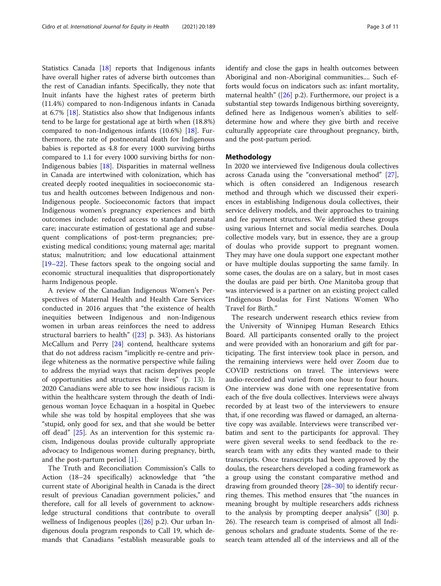Statistics Canada [\[18](#page-9-0)] reports that Indigenous infants have overall higher rates of adverse birth outcomes than the rest of Canadian infants. Specifically, they note that Inuit infants have the highest rates of preterm birth (11.4%) compared to non-Indigenous infants in Canada at 6.7% [\[18\]](#page-9-0). Statistics also show that Indigenous infants tend to be large for gestational age at birth when (18.8%) compared to non-Indigenous infants (10.6%) [\[18](#page-9-0)]. Furthermore, the rate of postneonatal death for Indigenous babies is reported as 4.8 for every 1000 surviving births compared to 1.1 for every 1000 surviving births for non-Indigenous babies [\[18](#page-9-0)]. Disparities in maternal wellness in Canada are intertwined with colonization, which has created deeply rooted inequalities in socioeconomic status and health outcomes between Indigenous and non-Indigenous people. Socioeconomic factors that impact Indigenous women's pregnancy experiences and birth outcomes include: reduced access to standard prenatal care; inaccurate estimation of gestational age and subsequent complications of post-term pregnancies; preexisting medical conditions; young maternal age; marital status; malnutrition; and low educational attainment [[19](#page-9-0)–[22](#page-9-0)]. These factors speak to the ongoing social and economic structural inequalities that disproportionately harm Indigenous people.

A review of the Canadian Indigenous Women's Perspectives of Maternal Health and Health Care Services conducted in 2016 argues that "the existence of health inequities between Indigenous and non-Indigenous women in urban areas reinforces the need to address structural barriers to health" ([\[23](#page-9-0)] p. 343). As historians McCallum and Perry [\[24](#page-9-0)] contend, healthcare systems that do not address racism "implicitly re-centre and privilege whiteness as the normative perspective while failing to address the myriad ways that racism deprives people of opportunities and structures their lives" (p. 13). In 2020 Canadians were able to see how insidious racism is within the healthcare system through the death of Indigenous woman Joyce Echaquan in a hospital in Quebec while she was told by hospital employees that she was "stupid, only good for sex, and that she would be better off dead" [\[25\]](#page-9-0). As an intervention for this systemic racism, Indigenous doulas provide culturally appropriate advocacy to Indigenous women during pregnancy, birth, and the post-partum period [[1](#page-9-0)].

The Truth and Reconciliation Commission's Calls to Action (18–24 specifically) acknowledge that "the current state of Aboriginal health in Canada is the direct result of previous Canadian government policies," and therefore, call for all levels of government to acknowledge structural conditions that contribute to overall wellness of Indigenous peoples ([[26\]](#page-9-0) p.2). Our urban Indigenous doula program responds to Call 19, which demands that Canadians "establish measurable goals to identify and close the gaps in health outcomes between Aboriginal and non-Aboriginal communities.... Such efforts would focus on indicators such as: infant mortality, maternal health" ( $[26]$  p.2). Furthermore, our project is a substantial step towards Indigenous birthing sovereignty, defined here as Indigenous women's abilities to selfdetermine how and where they give birth and receive culturally appropriate care throughout pregnancy, birth, and the post-partum period.

## Methodology

In 2020 we interviewed five Indigenous doula collectives across Canada using the "conversational method" [\[27](#page-10-0)], which is often considered an Indigenous research method and through which we discussed their experiences in establishing Indigenous doula collectives, their service delivery models, and their approaches to training and fee payment structures. We identified these groups using various Internet and social media searches. Doula collective models vary, but in essence, they are a group of doulas who provide support to pregnant women. They may have one doula support one expectant mother or have multiple doulas supporting the same family. In some cases, the doulas are on a salary, but in most cases the doulas are paid per birth. One Manitoba group that was interviewed is a partner on an existing project called "Indigenous Doulas for First Nations Women Who Travel for Birth."

The research underwent research ethics review from the University of Winnipeg Human Research Ethics Board. All participants consented orally to the project and were provided with an honorarium and gift for participating. The first interview took place in person, and the remaining interviews were held over Zoom due to COVID restrictions on travel. The interviews were audio-recorded and varied from one hour to four hours. One interview was done with one representative from each of the five doula collectives. Interviews were always recorded by at least two of the interviewers to ensure that, if one recording was flawed or damaged, an alternative copy was available. Interviews were transcribed verbatim and sent to the participants for approval. They were given several weeks to send feedback to the research team with any edits they wanted made to their transcripts. Once transcripts had been approved by the doulas, the researchers developed a coding framework as a group using the constant comparative method and drawing from grounded theory [\[28](#page-10-0)–[30\]](#page-10-0) to identify recurring themes. This method ensures that "the nuances in meaning brought by multiple researchers adds richness to the analysis by prompting deeper analysis"  $([30]$  $([30]$  $([30]$  p. 26). The research team is comprised of almost all Indigenous scholars and graduate students. Some of the research team attended all of the interviews and all of the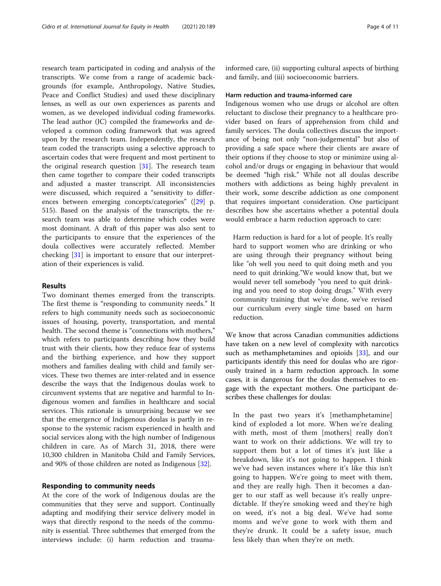research team participated in coding and analysis of the transcripts. We come from a range of academic backgrounds (for example, Anthropology, Native Studies, Peace and Conflict Studies) and used these disciplinary lenses, as well as our own experiences as parents and women, as we developed individual coding frameworks. The lead author (JC) compiled the frameworks and developed a common coding framework that was agreed upon by the research team. Independently, the research team coded the transcripts using a selective approach to ascertain codes that were frequent and most pertinent to the original research question [\[31\]](#page-10-0). The research team then came together to compare their coded transcripts and adjusted a master transcript. All inconsistencies were discussed, which required a "sensitivity to differences between emerging concepts/categories" ([\[29](#page-10-0)] p. 515). Based on the analysis of the transcripts, the research team was able to determine which codes were most dominant. A draft of this paper was also sent to the participants to ensure that the experiences of the doula collectives were accurately reflected. Member checking [[31](#page-10-0)] is important to ensure that our interpretation of their experiences is valid.

# Results

Two dominant themes emerged from the transcripts. The first theme is "responding to community needs." It refers to high community needs such as socioeconomic issues of housing, poverty, transportation, and mental health. The second theme is "connections with mothers," which refers to participants describing how they build trust with their clients, how they reduce fear of systems and the birthing experience, and how they support mothers and families dealing with child and family services. These two themes are inter-related and in essence describe the ways that the Indigenous doulas work to circumvent systems that are negative and harmful to Indigenous women and families in healthcare and social services. This rationale is unsurprising because we see that the emergence of Indigenous doulas is partly in response to the systemic racism experienced in health and social services along with the high number of Indigenous children in care. As of March 31, 2018, there were 10,300 children in Manitoba Child and Family Services, and 90% of those children are noted as Indigenous [\[32](#page-10-0)].

#### Responding to community needs

At the core of the work of Indigenous doulas are the communities that they serve and support. Continually adapting and modifying their service delivery model in ways that directly respond to the needs of the community is essential. Three subthemes that emerged from the interviews include: (i) harm reduction and traumainformed care, (ii) supporting cultural aspects of birthing and family, and (iii) socioeconomic barriers.

#### Harm reduction and trauma-informed care

Indigenous women who use drugs or alcohol are often reluctant to disclose their pregnancy to a healthcare provider based on fears of apprehension from child and family services. The doula collectives discuss the importance of being not only "non-judgemental" but also of providing a safe space where their clients are aware of their options if they choose to stop or minimize using alcohol and/or drugs or engaging in behaviour that would be deemed "high risk." While not all doulas describe mothers with addictions as being highly prevalent in their work, some describe addiction as one component that requires important consideration. One participant describes how she ascertains whether a potential doula would embrace a harm reduction approach to care:

Harm reduction is hard for a lot of people. It's really hard to support women who are drinking or who are using through their pregnancy without being like "oh well you need to quit doing meth and you need to quit drinking."We would know that, but we would never tell somebody "you need to quit drinking and you need to stop doing drugs." With every community training that we've done, we've revised our curriculum every single time based on harm reduction.

We know that across Canadian communities addictions have taken on a new level of complexity with narcotics such as methamphetamines and opioids [\[33](#page-10-0)], and our participants identify this need for doulas who are rigorously trained in a harm reduction approach. In some cases, it is dangerous for the doulas themselves to engage with the expectant mothers. One participant describes these challenges for doulas:

In the past two years it's [methamphetamine] kind of exploded a lot more. When we're dealing with meth, most of them [mothers] really don't want to work on their addictions. We will try to support them but a lot of times it's just like a breakdown, like it's not going to happen. I think we've had seven instances where it's like this isn't going to happen. We're going to meet with them, and they are really high. Then it becomes a danger to our staff as well because it's really unpredictable. If they're smoking weed and they're high on weed, it's not a big deal. We've had some moms and we've gone to work with them and they're drunk. It could be a safety issue, much less likely than when they're on meth.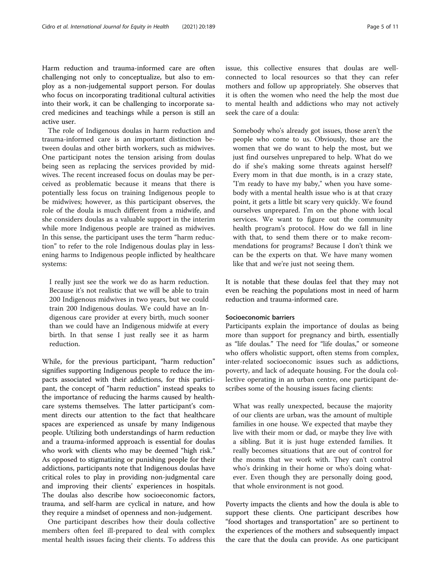Harm reduction and trauma-informed care are often challenging not only to conceptualize, but also to employ as a non-judgemental support person. For doulas who focus on incorporating traditional cultural activities into their work, it can be challenging to incorporate sacred medicines and teachings while a person is still an active user.

The role of Indigenous doulas in harm reduction and trauma-informed care is an important distinction between doulas and other birth workers, such as midwives. One participant notes the tension arising from doulas being seen as replacing the services provided by midwives. The recent increased focus on doulas may be perceived as problematic because it means that there is potentially less focus on training Indigenous people to be midwives; however, as this participant observes, the role of the doula is much different from a midwife, and she considers doulas as a valuable support in the interim while more Indigenous people are trained as midwives. In this sense, the participant uses the term "harm reduction" to refer to the role Indigenous doulas play in lessening harms to Indigenous people inflicted by healthcare systems:

I really just see the work we do as harm reduction. Because it's not realistic that we will be able to train 200 Indigenous midwives in two years, but we could train 200 Indigenous doulas. We could have an Indigenous care provider at every birth, much sooner than we could have an Indigenous midwife at every birth. In that sense I just really see it as harm reduction.

While, for the previous participant, "harm reduction" signifies supporting Indigenous people to reduce the impacts associated with their addictions, for this participant, the concept of "harm reduction" instead speaks to the importance of reducing the harms caused by healthcare systems themselves. The latter participant's comment directs our attention to the fact that healthcare spaces are experienced as unsafe by many Indigenous people. Utilizing both understandings of harm reduction and a trauma-informed approach is essential for doulas who work with clients who may be deemed "high risk." As opposed to stigmatizing or punishing people for their addictions, participants note that Indigenous doulas have critical roles to play in providing non-judgmental care and improving their clients' experiences in hospitals. The doulas also describe how socioeconomic factors, trauma, and self-harm are cyclical in nature, and how they require a mindset of openness and non-judgement.

One participant describes how their doula collective members often feel ill-prepared to deal with complex mental health issues facing their clients. To address this

issue, this collective ensures that doulas are wellconnected to local resources so that they can refer mothers and follow up appropriately. She observes that it is often the women who need the help the most due to mental health and addictions who may not actively seek the care of a doula:

Somebody who's already got issues, those aren't the people who come to us. Obviously, those are the women that we do want to help the most, but we just find ourselves unprepared to help. What do we do if she's making some threats against herself? Every mom in that due month, is in a crazy state, "I'm ready to have my baby," when you have somebody with a mental health issue who is at that crazy point, it gets a little bit scary very quickly. We found ourselves unprepared. I'm on the phone with local services. We want to figure out the community health program's protocol. How do we fall in line with that, to send them there or to make recommendations for programs? Because I don't think we can be the experts on that. We have many women like that and we're just not seeing them.

It is notable that these doulas feel that they may not even be reaching the populations most in need of harm reduction and trauma-informed care.

# Socioeconomic barriers

Participants explain the importance of doulas as being more than support for pregnancy and birth, essentially as "life doulas." The need for "life doulas," or someone who offers wholistic support, often stems from complex, inter-related socioeconomic issues such as addictions, poverty, and lack of adequate housing. For the doula collective operating in an urban centre, one participant describes some of the housing issues facing clients:

What was really unexpected, because the majority of our clients are urban, was the amount of multiple families in one house. We expected that maybe they live with their mom or dad, or maybe they live with a sibling. But it is just huge extended families. It really becomes situations that are out of control for the moms that we work with. They can't control who's drinking in their home or who's doing whatever. Even though they are personally doing good, that whole environment is not good.

Poverty impacts the clients and how the doula is able to support these clients. One participant describes how "food shortages and transportation" are so pertinent to the experiences of the mothers and subsequently impact the care that the doula can provide. As one participant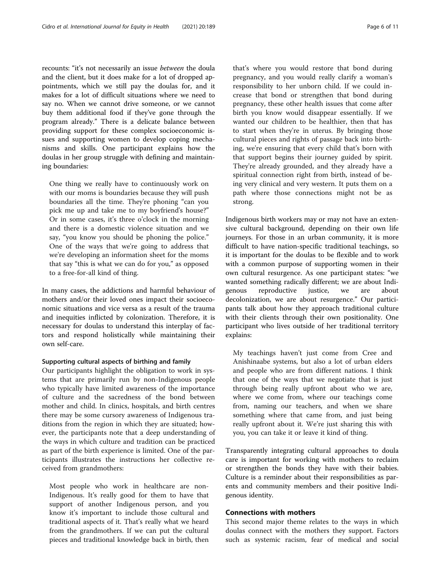recounts: "it's not necessarily an issue between the doula and the client, but it does make for a lot of dropped appointments, which we still pay the doulas for, and it makes for a lot of difficult situations where we need to say no. When we cannot drive someone, or we cannot buy them additional food if they've gone through the program already." There is a delicate balance between providing support for these complex socioeconomic issues and supporting women to develop coping mechanisms and skills. One participant explains how the doulas in her group struggle with defining and maintaining boundaries:

One thing we really have to continuously work on with our moms is boundaries because they will push boundaries all the time. They're phoning "can you pick me up and take me to my boyfriend's house?" Or in some cases, it's three o'clock in the morning and there is a domestic violence situation and we say, "you know you should be phoning the police." One of the ways that we're going to address that we're developing an information sheet for the moms that say "this is what we can do for you," as opposed to a free-for-all kind of thing.

In many cases, the addictions and harmful behaviour of mothers and/or their loved ones impact their socioeconomic situations and vice versa as a result of the trauma and inequities inflicted by colonization. Therefore, it is necessary for doulas to understand this interplay of factors and respond holistically while maintaining their own self-care.

#### Supporting cultural aspects of birthing and family

Our participants highlight the obligation to work in systems that are primarily run by non-Indigenous people who typically have limited awareness of the importance of culture and the sacredness of the bond between mother and child. In clinics, hospitals, and birth centres there may be some cursory awareness of Indigenous traditions from the region in which they are situated; however, the participants note that a deep understanding of the ways in which culture and tradition can be practiced as part of the birth experience is limited. One of the participants illustrates the instructions her collective received from grandmothers:

Most people who work in healthcare are non-Indigenous. It's really good for them to have that support of another Indigenous person, and you know it's important to include those cultural and traditional aspects of it. That's really what we heard from the grandmothers. If we can put the cultural pieces and traditional knowledge back in birth, then

that's where you would restore that bond during pregnancy, and you would really clarify a woman's responsibility to her unborn child. If we could increase that bond or strengthen that bond during pregnancy, these other health issues that come after birth you know would disappear essentially. If we wanted our children to be healthier, then that has to start when they're in uterus. By bringing those cultural pieces and rights of passage back into birthing, we're ensuring that every child that's born with that support begins their journey guided by spirit. They're already grounded, and they already have a spiritual connection right from birth, instead of being very clinical and very western. It puts them on a path where those connections might not be as strong.

Indigenous birth workers may or may not have an extensive cultural background, depending on their own life journeys. For those in an urban community, it is more difficult to have nation-specific traditional teachings, so it is important for the doulas to be flexible and to work with a common purpose of supporting women in their own cultural resurgence. As one participant states: "we wanted something radically different; we are about Indigenous reproductive justice, we are about decolonization, we are about resurgence." Our participants talk about how they approach traditional culture with their clients through their own positionality. One participant who lives outside of her traditional territory explains:

My teachings haven't just come from Cree and Anishinaabe systems, but also a lot of urban elders and people who are from different nations. I think that one of the ways that we negotiate that is just through being really upfront about who we are, where we come from, where our teachings come from, naming our teachers, and when we share something where that came from, and just being really upfront about it. We're just sharing this with you, you can take it or leave it kind of thing.

Transparently integrating cultural approaches to doula care is important for working with mothers to reclaim or strengthen the bonds they have with their babies. Culture is a reminder about their responsibilities as parents and community members and their positive Indigenous identity.

# Connections with mothers

This second major theme relates to the ways in which doulas connect with the mothers they support. Factors such as systemic racism, fear of medical and social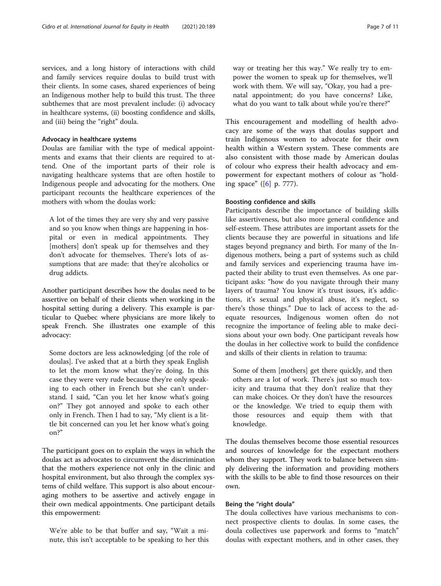services, and a long history of interactions with child and family services require doulas to build trust with their clients. In some cases, shared experiences of being an Indigenous mother help to build this trust. The three subthemes that are most prevalent include: (i) advocacy in healthcare systems, (ii) boosting confidence and skills, and (iii) being the "right" doula.

## Advocacy in healthcare systems

Doulas are familiar with the type of medical appointments and exams that their clients are required to attend. One of the important parts of their role is navigating healthcare systems that are often hostile to Indigenous people and advocating for the mothers. One participant recounts the healthcare experiences of the mothers with whom the doulas work:

A lot of the times they are very shy and very passive and so you know when things are happening in hospital or even in medical appointments. They [mothers] don't speak up for themselves and they don't advocate for themselves. There's lots of assumptions that are made: that they're alcoholics or drug addicts.

Another participant describes how the doulas need to be assertive on behalf of their clients when working in the hospital setting during a delivery. This example is particular to Quebec where physicians are more likely to speak French. She illustrates one example of this advocacy:

Some doctors are less acknowledging [of the role of doulas]. I've asked that at a birth they speak English to let the mom know what they're doing. In this case they were very rude because they're only speaking to each other in French but she can't understand. I said, "Can you let her know what's going on?" They got annoyed and spoke to each other only in French. Then I had to say, "My client is a little bit concerned can you let her know what's going on?"

The participant goes on to explain the ways in which the doulas act as advocates to circumvent the discrimination that the mothers experience not only in the clinic and hospital environment, but also through the complex systems of child welfare. This support is also about encouraging mothers to be assertive and actively engage in their own medical appointments. One participant details this empowerment:

We're able to be that buffer and say, "Wait a minute, this isn't acceptable to be speaking to her this way or treating her this way." We really try to empower the women to speak up for themselves, we'll work with them. We will say, "Okay, you had a prenatal appointment; do you have concerns? Like, what do you want to talk about while you're there?"

This encouragement and modelling of health advocacy are some of the ways that doulas support and train Indigenous women to advocate for their own health within a Western system. These comments are also consistent with those made by American doulas of colour who express their health advocacy and empowerment for expectant mothers of colour as "holding space" ([\[6](#page-9-0)] p. 777).

# Boosting confidence and skills

Participants describe the importance of building skills like assertiveness, but also more general confidence and self-esteem. These attributes are important assets for the clients because they are powerful in situations and life stages beyond pregnancy and birth. For many of the Indigenous mothers, being a part of systems such as child and family services and experiencing trauma have impacted their ability to trust even themselves. As one participant asks: "how do you navigate through their many layers of trauma? You know it's trust issues, it's addictions, it's sexual and physical abuse, it's neglect, so there's those things." Due to lack of access to the adequate resources, Indigenous women often do not recognize the importance of feeling able to make decisions about your own body. One participant reveals how the doulas in her collective work to build the confidence and skills of their clients in relation to trauma:

Some of them [mothers] get there quickly, and then others are a lot of work. There's just so much toxicity and trauma that they don't realize that they can make choices. Or they don't have the resources or the knowledge. We tried to equip them with those resources and equip them with that knowledge.

The doulas themselves become those essential resources and sources of knowledge for the expectant mothers whom they support. They work to balance between simply delivering the information and providing mothers with the skills to be able to find those resources on their own.

# Being the "right doula"

The doula collectives have various mechanisms to connect prospective clients to doulas. In some cases, the doula collectives use paperwork and forms to "match" doulas with expectant mothers, and in other cases, they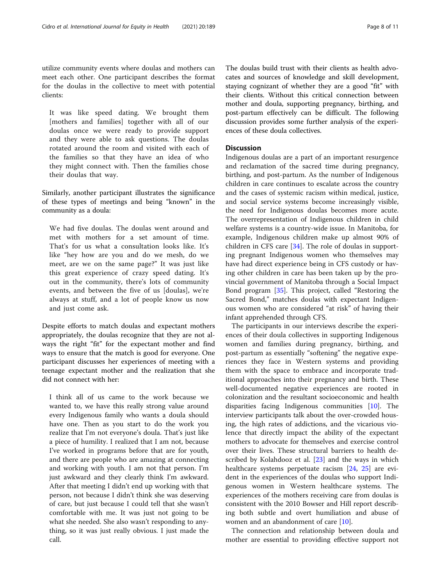utilize community events where doulas and mothers can meet each other. One participant describes the format for the doulas in the collective to meet with potential clients:

It was like speed dating. We brought them [mothers and families] together with all of our doulas once we were ready to provide support and they were able to ask questions. The doulas rotated around the room and visited with each of the families so that they have an idea of who they might connect with. Then the families chose their doulas that way.

Similarly, another participant illustrates the significance of these types of meetings and being "known" in the community as a doula:

We had five doulas. The doulas went around and met with mothers for a set amount of time. That's for us what a consultation looks like. It's like "hey how are you and do we mesh, do we meet, are we on the same page?" It was just like this great experience of crazy speed dating. It's out in the community, there's lots of community events, and between the five of us [doulas], we're always at stuff, and a lot of people know us now and just come ask.

Despite efforts to match doulas and expectant mothers appropriately, the doulas recognize that they are not always the right "fit" for the expectant mother and find ways to ensure that the match is good for everyone. One participant discusses her experiences of meeting with a teenage expectant mother and the realization that she did not connect with her:

I think all of us came to the work because we wanted to, we have this really strong value around every Indigenous family who wants a doula should have one. Then as you start to do the work you realize that I'm not everyone's doula. That's just like a piece of humility. I realized that I am not, because I've worked in programs before that are for youth, and there are people who are amazing at connecting and working with youth. I am not that person. I'm just awkward and they clearly think I'm awkward. After that meeting I didn't end up working with that person, not because I didn't think she was deserving of care, but just because I could tell that she wasn't comfortable with me. It was just not going to be what she needed. She also wasn't responding to anything, so it was just really obvious. I just made the call.

The doulas build trust with their clients as health advocates and sources of knowledge and skill development, staying cognizant of whether they are a good "fit" with their clients. Without this critical connection between mother and doula, supporting pregnancy, birthing, and post-partum effectively can be difficult. The following discussion provides some further analysis of the experiences of these doula collectives.

# **Discussion**

Indigenous doulas are a part of an important resurgence and reclamation of the sacred time during pregnancy, birthing, and post-partum. As the number of Indigenous children in care continues to escalate across the country and the cases of systemic racism within medical, justice, and social service systems become increasingly visible, the need for Indigenous doulas becomes more acute. The overrepresentation of Indigenous children in child welfare systems is a country-wide issue. In Manitoba, for example, Indigenous children make up almost 90% of children in CFS care [\[34](#page-10-0)]. The role of doulas in supporting pregnant Indigenous women who themselves may have had direct experience being in CFS custody or having other children in care has been taken up by the provincial government of Manitoba through a Social Impact Bond program [\[35](#page-10-0)]. This project, called "Restoring the Sacred Bond," matches doulas with expectant Indigenous women who are considered "at risk" of having their infant apprehended through CFS.

The participants in our interviews describe the experiences of their doula collectives in supporting Indigenous women and families during pregnancy, birthing, and post-partum as essentially "softening" the negative experiences they face in Western systems and providing them with the space to embrace and incorporate traditional approaches into their pregnancy and birth. These well-documented negative experiences are rooted in colonization and the resultant socioeconomic and health disparities facing Indigenous communities [\[10\]](#page-9-0). The interview participants talk about the over-crowded housing, the high rates of addictions, and the vicarious violence that directly impact the ability of the expectant mothers to advocate for themselves and exercise control over their lives. These structural barriers to health described by Kolahdooz et al. [\[23](#page-9-0)] and the ways in which healthcare systems perpetuate racism [\[24](#page-9-0), [25](#page-9-0)] are evident in the experiences of the doulas who support Indigenous women in Western healthcare systems. The experiences of the mothers receiving care from doulas is consistent with the 2010 Bowser and Hill report describing both subtle and overt humiliation and abuse of women and an abandonment of care [\[10](#page-9-0)].

The connection and relationship between doula and mother are essential to providing effective support not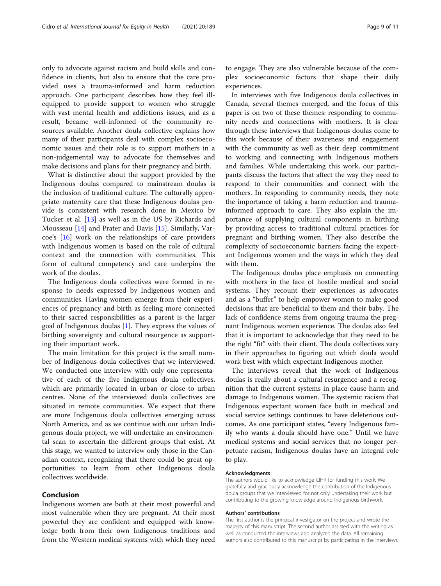only to advocate against racism and build skills and confidence in clients, but also to ensure that the care provided uses a trauma-informed and harm reduction approach. One participant describes how they feel illequipped to provide support to women who struggle with vast mental health and addictions issues, and as a result, became well-informed of the community resources available. Another doula collective explains how many of their participants deal with complex socioeconomic issues and their role is to support mothers in a non-judgemental way to advocate for themselves and make decisions and plans for their pregnancy and birth.

What is distinctive about the support provided by the Indigenous doulas compared to mainstream doulas is the inclusion of traditional culture. The culturally appropriate maternity care that these Indigenous doulas provide is consistent with research done in Mexico by Tucker et al. [\[13](#page-9-0)] as well as in the US by Richards and Mousseau [\[14\]](#page-9-0) and Prater and Davis [[15\]](#page-9-0). Similarly, Varcoe's [\[16](#page-9-0)] work on the relationships of care providers with Indigenous women is based on the role of cultural context and the connection with communities. This form of cultural competency and care underpins the work of the doulas.

The Indigenous doula collectives were formed in response to needs expressed by Indigenous women and communities. Having women emerge from their experiences of pregnancy and birth as feeling more connected to their sacred responsibilities as a parent is the larger goal of Indigenous doulas [\[1](#page-9-0)]. They express the values of birthing sovereignty and cultural resurgence as supporting their important work.

The main limitation for this project is the small number of Indigenous doula collectives that we interviewed. We conducted one interview with only one representative of each of the five Indigenous doula collectives, which are primarily located in urban or close to urban centres. None of the interviewed doula collectives are situated in remote communities. We expect that there are more Indigenous doula collectives emerging across North America, and as we continue with our urban Indigenous doula project, we will undertake an environmental scan to ascertain the different groups that exist. At this stage, we wanted to interview only those in the Canadian context, recognizing that there could be great opportunities to learn from other Indigenous doula collectives worldwide.

#### Conclusion

Indigenous women are both at their most powerful and most vulnerable when they are pregnant. At their most powerful they are confident and equipped with knowledge both from their own Indigenous traditions and from the Western medical systems with which they need

to engage. They are also vulnerable because of the complex socioeconomic factors that shape their daily experiences.

In interviews with five Indigenous doula collectives in Canada, several themes emerged, and the focus of this paper is on two of these themes: responding to community needs and connections with mothers. It is clear through these interviews that Indigenous doulas come to this work because of their awareness and engagement with the community as well as their deep commitment to working and connecting with Indigenous mothers and families. While undertaking this work, our participants discuss the factors that affect the way they need to respond to their communities and connect with the mothers. In responding to community needs, they note the importance of taking a harm reduction and traumainformed approach to care. They also explain the importance of supplying cultural components in birthing by providing access to traditional cultural practices for pregnant and birthing women. They also describe the complexity of socioeconomic barriers facing the expectant Indigenous women and the ways in which they deal with them.

The Indigenous doulas place emphasis on connecting with mothers in the face of hostile medical and social systems. They recount their experiences as advocates and as a "buffer" to help empower women to make good decisions that are beneficial to them and their baby. The lack of confidence stems from ongoing trauma the pregnant Indigenous women experience. The doulas also feel that it is important to acknowledge that they need to be the right "fit" with their client. The doula collectives vary in their approaches to figuring out which doula would work best with which expectant Indigenous mother.

The interviews reveal that the work of Indigenous doulas is really about a cultural resurgence and a recognition that the current systems in place cause harm and damage to Indigenous women. The systemic racism that Indigenous expectant women face both in medical and social service settings continues to have deleterious outcomes. As one participant states, "every Indigenous family who wants a doula should have one." Until we have medical systems and social services that no longer perpetuate racism, Indigenous doulas have an integral role to play.

#### Acknowledgments

The authors would like to acknowledge CIHR for funding this work. We gratefully and graciously acknowledge the contribution of the Indigenous doula groups that we interviewed for not only undertaking their work but contributing to the growing knowledge around Indigenous birthwork.

#### Authors' contributions

The first author is the principal investigator on the project and wrote the majority of this manuscript. The second author assisted with the writing as well as conducted the interviews and analyzed the data. All remaining authors also contributed to this manuscript by participating in the interviews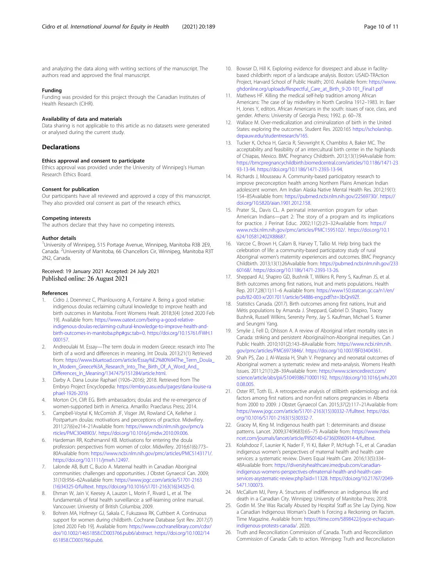<span id="page-9-0"></span>and analyzing the data along with writing sections of the manuscript. The authors read and approved the final manuscript.

#### Funding

Funding was provided for this project through the Canadian Institutes of Health Research (CIHR).

## Availability of data and materials

Data sharing is not applicable to this article as no datasets were generated or analysed during the current study.

# **Declarations**

#### Ethics approval and consent to participate

Ethics approval was provided under the University of Winnipeg's Human Research Ethics Board.

#### Consent for publication

Our participants have all reviewed and approved a copy of this manuscript. They also provided oral consent as part of the research ethics.

#### Competing interests

The authors declare that they have no competing interests.

#### Author details

<sup>1</sup>University of Winnipeg, 515 Portage Avenue, Winnipeg, Manitoba R3B 2E9, Canada. <sup>2</sup>University of Manitoba, 66 Chancellors Cir, Winnipeg, Manitoba R3T 2N2, Canada.

#### Received: 19 January 2021 Accepted: 24 July 2021 Published online: 26 August 2021

#### References

- 1. Cidro J, Doenmez C, Phanlouvong A, Fontaine A. Being a good relative: indigenous doulas reclaiming cultural knowledge to improve health and birth outcomes in Manitoba. Front Womens Healt. 2018;3(4) [cited 2020 Feb 19]. Available from: [https://www.oatext.com/being-a-good-relative](https://www.oatext.com/being-a-good-relative-indigenous-doulas-reclaiming-cultural-knowledge-to-improve-health-and-birth-outcomes-in-manitoba.php#gsc.tab=0)[indigenous-doulas-reclaiming-cultural-knowledge-to-improve-health-and](https://www.oatext.com/being-a-good-relative-indigenous-doulas-reclaiming-cultural-knowledge-to-improve-health-and-birth-outcomes-in-manitoba.php#gsc.tab=0)[birth-outcomes-in-manitoba.php#gsc.tab=0.](https://www.oatext.com/being-a-good-relative-indigenous-doulas-reclaiming-cultural-knowledge-to-improve-health-and-birth-outcomes-in-manitoba.php#gsc.tab=0) [https://doi.org/10.15761/FWH.1](https://doi.org/10.15761/FWH.1000157) [000157](https://doi.org/10.15761/FWH.1000157).
- 2. Andreoulaki M. Essay—The term doula in modern Greece: research into The birth of a word and differences in meaning. Int Doula. 2013;21(1) Retrieved from: [https://www.bluetoad.com/article/Essay%E2%80%94The\\_Term\\_Doula\\_](https://www.bluetoad.com/article/Essay%E2%80%94The_Term_Doula_In_Modern_Greece%3A_Research_Into_The_Birth_Of_A_Word_And_Differences_In_Meaning/1347475/151284/article.html) [In\\_Modern\\_Greece%3A\\_Research\\_Into\\_The\\_Birth\\_Of\\_A\\_Word\\_And\\_](https://www.bluetoad.com/article/Essay%E2%80%94The_Term_Doula_In_Modern_Greece%3A_Research_Into_The_Birth_Of_A_Word_And_Differences_In_Meaning/1347475/151284/article.html) [Differences\\_In\\_Meaning/1347475/151284/article.html.](https://www.bluetoad.com/article/Essay%E2%80%94The_Term_Doula_In_Modern_Greece%3A_Research_Into_The_Birth_Of_A_Word_And_Differences_In_Meaning/1347475/151284/article.html)
- 3. Darby A. Dana Louise Raphael (1926–2016); 2018. Retrieved from The Embryo Project Encyclopedia: [https://embryo.asu.edu/pages/dana-louise-ra](https://embryo.asu.edu/pages/dana-louise-raphael-1926-2016) [phael-1926-2016](https://embryo.asu.edu/pages/dana-louise-raphael-1926-2016)
- 4. Morton CH, Clift EG. Birth ambassadors; doulas and the re-emergence of women-supported birth in America. Amarillo: Praeclarus Press; 2014.
- 5. Campbell-Voytal K, McComish JF, Visger JM, Rowland CA, Kelleher J. Postpartum doulas: motivations and perceptions of practice. Midwifery. 2011;27(6):e214–21Available from: [https://www.ncbi.nlm.nih.gov/pmc/a](https://www.ncbi.nlm.nih.gov/pmc/articles/PMC3048903/) [rticles/PMC3048903/.](https://www.ncbi.nlm.nih.gov/pmc/articles/PMC3048903/) [https://doi.org/10.1016/j.midw.2010.09.006.](https://doi.org/10.1016/j.midw.2010.09.006)
- 6. Hardeman RR, Kozhimannil KB. Motivations for entering the doula profession: perspectives from women of color. Midwifery. 2016;61(6):773– 80Available from: [https://www.ncbi.nlm.nih.gov/pmc/articles/PMC5143171/.](https://www.ncbi.nlm.nih.gov/pmc/articles/PMC5143171/) <https://doi.org/10.1111/jmwh.12497>.
- 7. Lalonde AB, Butt C, Bucio A. Maternal health in Canadian Aboriginal communities: challenges and opportunities. J Obstet Gynaecol Can. 2009; 31(10):956–62Available from: [https://www.jogc.com/article/S1701-2163](https://www.jogc.com/article/S1701-2163(16)34325-0/fulltext) [\(16\)34325-0/fulltext.](https://www.jogc.com/article/S1701-2163(16)34325-0/fulltext) [https://doi.org/10.1016/s1701-2163\(16\)34325-0](https://doi.org/10.1016/s1701-2163(16)34325-0).
- 8. Ehman W, Jain V, Keesey A, Lauzon L, Morin F, Rivard L, et al. The fundamentals of fetal health surveillance: a self-learning online manual. Vancouver: University of British Columbia; 2009.
- 9. Bohren MA, Hofmeyr GJ, Sakala C, Fukuzawa RK, Cuthbert A. Continuous support for women during childbirth. Cochrane Database Syst Rev. 2017;(7) [cited 2020 Feb 19]. Available from: [https://www.cochranelibrary.com/cdsr/](http://dx.doi.org/10.1002/14651858.CD003766.pub6/abstract) [doi/10.1002/14651858.CD003766.pub6/abstract.](http://dx.doi.org/10.1002/14651858.CD003766.pub6/abstract) [https://doi.org/10.1002/14](https://doi.org/10.1002/14651858.CD003766.pub6) [651858.CD003766.pub6](https://doi.org/10.1002/14651858.CD003766.pub6).
- 10. Bowser D, Hill K. Exploring evidence for disrespect and abuse in facilitybased childbirth: report of a landscape analysis. Boston: USAID-TRAction Project, Harvard School of Public Health; 2010. Available from: [https://www.](https://www.ghdonline.org/uploads/Respectful_Care_at_Birth_9-20-101_Final1.pdf) [ghdonline.org/uploads/Respectful\\_Care\\_at\\_Birth\\_9-20-101\\_Final1.pdf](https://www.ghdonline.org/uploads/Respectful_Care_at_Birth_9-20-101_Final1.pdf)
- 11. Mathews HF. Killing the medical self-help tradition among African Americans: The case of lay midwifery in North Carolina 1912–1983. In: Baer H, Jones Y, editors. African Americans in the south: issues of race, class, and gender. Athens: University of Georgia Press; 1992. p. 60–78.
- 12. Wallace M. Over-medicalization and criminalization of birth in the United States: exploring the outcomes. Student Res. 2020:165 [https://scholarship.](https://scholarship.depauw.edu/studentresearch/165) [depauw.edu/studentresearch/165.](https://scholarship.depauw.edu/studentresearch/165)
- 13. Tucker K, Ochoa H, Garcia R, Sievwright K, Chambliss A, Baker MC. The acceptability and feasibility of an intercultural birth center in the highlands of Chiapas, Mexico. BMC Pregnancy Childbirth. 2013;13(1):94Available from: [https://bmcpregnancychildbirth.biomedcentral.com/articles/10.1186/1471-23](http://dx.doi.org/10.1186/1471-2393-13-94) [93-13-94](http://dx.doi.org/10.1186/1471-2393-13-94). <https://doi.org/10.1186/1471-2393-13-94>.
- 14. Richards J, Mousseau A. Community-based participatory research to improve preconception health among Northern Plains American Indian adolescent women. Am Indian Alaska Native Mental Health Res. 2012;19(1): 154–85Available from: <https://pubmed.ncbi.nlm.nih.gov/22569730/>. [https://](https://doi.org/10.5820/aian.1901.2012.158) [doi.org/10.5820/aian.1901.2012.158](https://doi.org/10.5820/aian.1901.2012.158).
- 15. Prater SL, Davis CL. A perinatal intervention program for urban American Indians—part 2: The story of a program and its implications for practice. J Perinat Educ. 2002;11(2):23–32Available from: [https://](https://www.ncbi.nlm.nih.gov/pmc/articles/PMC1595102/) [www.ncbi.nlm.nih.gov/pmc/articles/PMC1595102/](https://www.ncbi.nlm.nih.gov/pmc/articles/PMC1595102/). [https://doi.org/10.1](https://doi.org/10.1624/105812402X88687) [624/105812402X88687.](https://doi.org/10.1624/105812402X88687)
- 16. Varcoe C, Brown H, Calam B, Harvey T, Tallio M. Help bring back the celebration of life: a community-based participatory study of rural Aboriginal women's maternity experiences and outcomes. BMC Pregnancy Childbirth. 2013;13(1):26Available from: [https://pubmed.ncbi.nlm.nih.gov/233](https://pubmed.ncbi.nlm.nih.gov/23360168/) [60168/](https://pubmed.ncbi.nlm.nih.gov/23360168/). [https://doi.org/10.1186/1471-2393-13-26.](https://doi.org/10.1186/1471-2393-13-26)
- 17. Sheppard AJ, Shapiro GD, Bushnik T, Wilkins R, Perry S, Kaufman JS, et al. Birth outcomes among first nations, Inuit and metis populations. Health Rep. 2017;28(11):11–6 Available from: [https://www150.statcan.gc.ca/n1/en/](https://www150.statcan.gc.ca/n1/en/pub/82-003-x/2017011/article/54886-eng.pdf?st=3bQni9Zf) [pub/82-003-x/2017011/article/54886-eng.pdf?st=3bQni9Zf.](https://www150.statcan.gc.ca/n1/en/pub/82-003-x/2017011/article/54886-eng.pdf?st=3bQni9Zf)
- 18. Statistics Canada. (2017). Birth outcomes among first nations, Inuit and Métis populations by Amanda J. Sheppard, Gabriel D. Shapiro, Tracey Bushnik, Russell Wilkins, Serenity Perry, Jay S. Kaufman, Michael S. Kramer and Seungmi Yang.
- 19. Smylie J, Fell D, Ohlsson A. A review of Aboriginal infant mortality rates in Canada: striking and persistent Aboriginal/non-Aboriginal inequities. Can J Public Health. 2010;101(2):143–8Available from: [https://www.ncbi.nlm.nih.](https://www.ncbi.nlm.nih.gov/pmc/articles/PMC6973846/) [gov/pmc/articles/PMC6973846/.](https://www.ncbi.nlm.nih.gov/pmc/articles/PMC6973846/) <https://doi.org/10.1007/BF03404361>.
- 20. Shah PS, Zao J, Al-Wassia H, Shah V. Pregnancy and neonatal outcomes of Aboriginal women: a systematic review and meta-analysis. Womens Health Issues. 2011;21(1):28–39Available from: [https://www.sciencedirect.com/](https://www.sciencedirect.com/science/article/abs/pii/S1049386710001192) [science/article/abs/pii/S1049386710001192.](https://www.sciencedirect.com/science/article/abs/pii/S1049386710001192) [https://doi.org/10.1016/j.whi.201](https://doi.org/10.1016/j.whi.2010.08.005) [0.08.005.](https://doi.org/10.1016/j.whi.2010.08.005)
- 21. Oster RT, Toth EL. A retrospective analysis of stillbirth epidemiology and risk factors among first nations and non-first nations pregnancies in Alberta from 2000 to 2009. J Obstet Gynaecol Can. 2015;37(2):117–21Available from: [https://www.jogc.com/article/S1701-2163\(15\)30332-7/fulltext](https://www.jogc.com/article/S1701-2163(15)30332-7/fulltext). [https://doi.](https://doi.org/10.1016/S1701-2163(15)30332-7) [org/10.1016/S1701-2163\(15\)30332-7.](https://doi.org/10.1016/S1701-2163(15)30332-7)
- 22. Gracey M, King M. Indigenous health part 1: determinants and disease patterns. Lancet. 2009;374(9683):65–75 Available from: [https://www.thela](https://www.thelancet.com/journals/lancet/article/PIIS0140-6736(09)60914-4/fulltext) [ncet.com/journals/lancet/article/PIIS0140-6736\(09\)60914-4/fulltext.](https://www.thelancet.com/journals/lancet/article/PIIS0140-6736(09)60914-4/fulltext)
- 23. Kolahdooz F, Launier K, Nader F, Yi KJ, Baker P, McHugh T-L, et al. Canadian indigenous women's perspectives of maternal health and health care services: a systematic review. Divers Equal Health Care. 2016;13(5):334– 48Available from: [https://diversityhealthcare.imedpub.com/canadian](https://diversityhealthcare.imedpub.com/canadian-indigenous-womens-perspectives-ofmaternal-health-and-health-care-services-asystematic-review.php?aid=11328)[indigenous-womens-perspectives-ofmaternal-health-and-health-care](https://diversityhealthcare.imedpub.com/canadian-indigenous-womens-perspectives-ofmaternal-health-and-health-care-services-asystematic-review.php?aid=11328)[services-asystematic-review.php?aid=11328](https://diversityhealthcare.imedpub.com/canadian-indigenous-womens-perspectives-ofmaternal-health-and-health-care-services-asystematic-review.php?aid=11328). [https://doi.org/10.21767/2049-](https://doi.org/10.21767/2049-5471.100073) [5471.100073](https://doi.org/10.21767/2049-5471.100073).
- 24. McCallum MJ, Perry A. Structures of indifference: an indigenous life and death in a Canadian City. Winnipeg: University of Manitoba Press; 2018.
- 25. Godin M. She Was Racially Abused by Hospital Staff as She Lay Dying. Now a Canadian Indigenous Woman's Death Is Forcing a Reckoning on Racism. Time Magazine. Available from: [https://time.com/5898422/joyce-echaquan](https://time.com/5898422/joyce-echaquan-indigenous-protests-canada/)[indigenous-protests-canada/](https://time.com/5898422/joyce-echaquan-indigenous-protests-canada/). 2020.
- 26. Truth and Reconciliation Commission of Canada. Truth and Reconciliation Commission of Canada: Calls to action. Winnipeg: Truth and Reconciliation